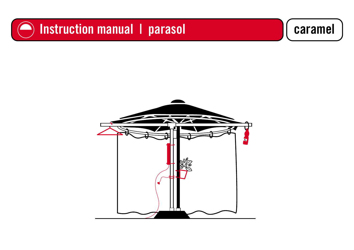### **O** Instruction manual I parasol **Construction manual I parasol**

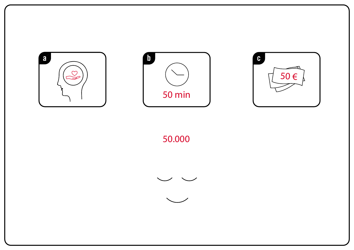

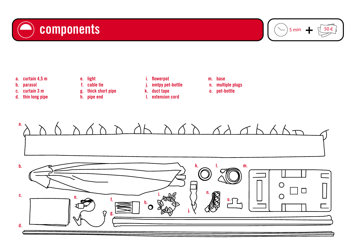



- a. curtain 4,5 m
- parasol b.
- curtain 3 m c.
- d. thin long pipe
- e. light
- f. cable tie
- g. thick short pipe
- h. pipe end
- i. flowerpot
- emtpy pet-bottle j.
- k. duct tape
- l. extension cord
- base m.
- n. multiple plugs
- o. pet-bottle



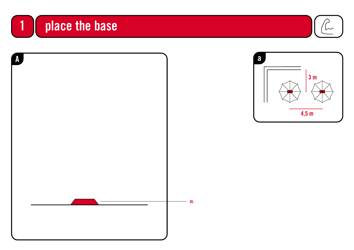





 $\sim$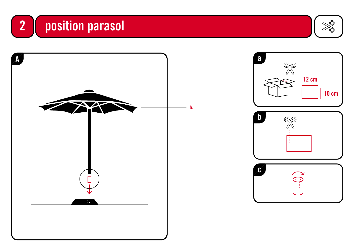





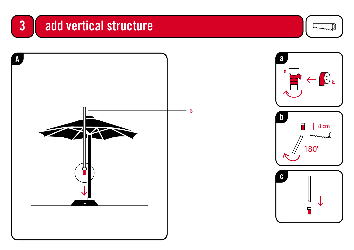



![](_page_5_Picture_2.jpeg)

hummel

![](_page_5_Picture_3.jpeg)

![](_page_5_Picture_4.jpeg)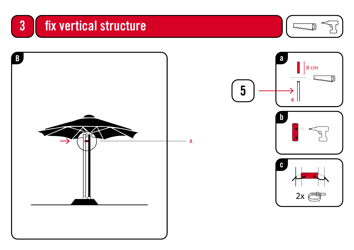# 3 fix vertical structure

humme

![](_page_6_Picture_2.jpeg)

d.

![](_page_6_Figure_3.jpeg)

![](_page_6_Picture_4.jpeg)

![](_page_6_Picture_5.jpeg)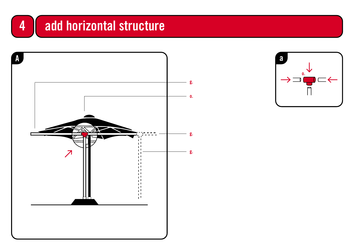#### add horizontal structure  $\overline{\mathbf{4}}$

![](_page_7_Figure_1.jpeg)

![](_page_7_Figure_2.jpeg)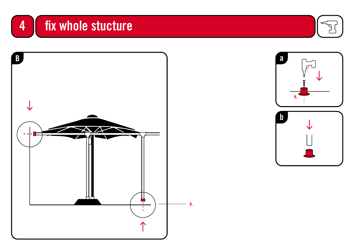# fix whole stucture

4

![](_page_8_Picture_1.jpeg)

![](_page_8_Picture_2.jpeg)

![](_page_8_Figure_3.jpeg)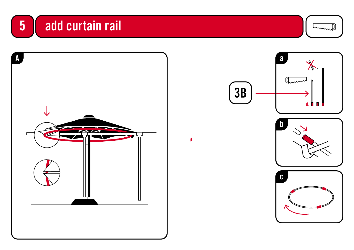![](_page_9_Picture_0.jpeg)

![](_page_9_Picture_1.jpeg)

![](_page_9_Picture_2.jpeg)

![](_page_9_Figure_3.jpeg)

 $3B$ 

![](_page_9_Figure_4.jpeg)

![](_page_9_Picture_5.jpeg)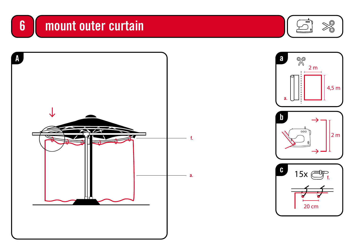## 6 | mount outer curtain

![](_page_10_Picture_1.jpeg)

![](_page_10_Picture_2.jpeg)

![](_page_10_Figure_3.jpeg)

![](_page_10_Figure_4.jpeg)

![](_page_10_Picture_5.jpeg)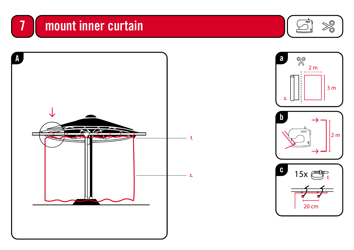### 7 mount inner curtain

![](_page_11_Picture_1.jpeg)

![](_page_11_Picture_2.jpeg)

![](_page_11_Figure_3.jpeg)

![](_page_11_Picture_4.jpeg)

![](_page_11_Figure_5.jpeg)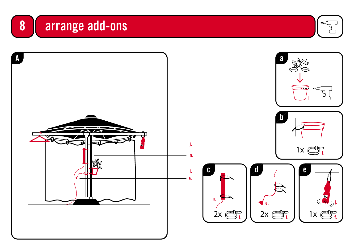![](_page_12_Picture_0.jpeg)

![](_page_12_Picture_1.jpeg)

![](_page_12_Figure_2.jpeg)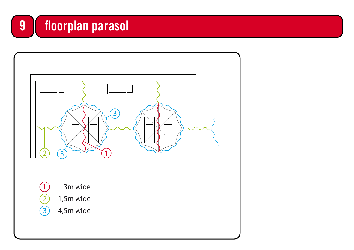#### floorplan parasol

![](_page_13_Figure_1.jpeg)